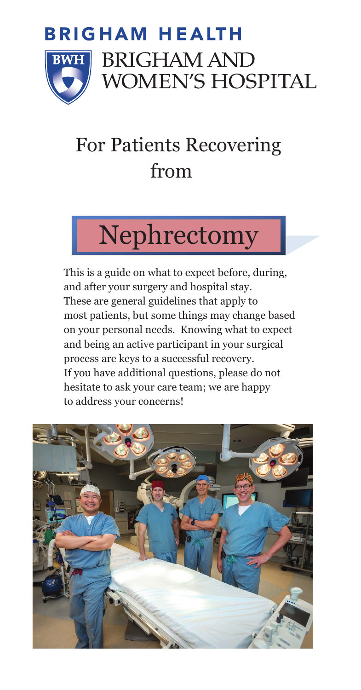

### For Patients Recovering For Patients Recovering from the state of  $\mathbf{f}$ rom the state of  $\mathbf{f}$ rom the state of  $\mathbf{f}$ from

# Nephrectomy Nephrectomy

 This is a guide on what to expect before, during, This is a guide on what to expect before, during, and after your surgery and hospital stay. and after your surgery and hospital stay. These are general guidelines that apply to These are general guidelines that apply to most patients, but some things may change based most patients, but some things may change based on your personal needs. Knowing what to expect and being an active participant in your surgical and being an active participant in your surgical process are keys to a successful recovery. process are keys to a successful recovery. If you have additional questions, please do not If you have additional questions, please do not hesitate to ask your care team; we are happy hesitate to ask your care team; we are happy to address your concerns! to address your concerns!

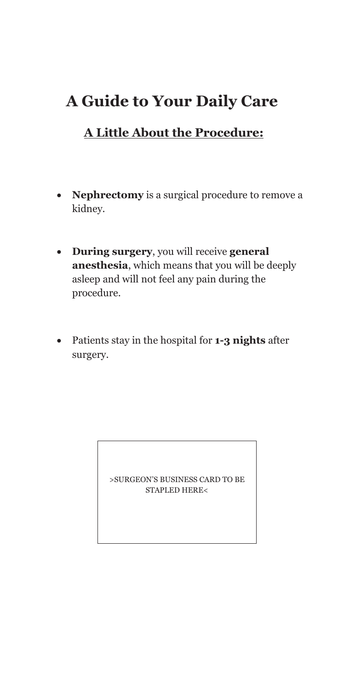# **A Guide to Your Daily Care**

### **A Little About the Procedure:**

- **Nephrectomy** is a surgical procedure to remove a kidney.
- **During surgery**, you will receive **general anesthesia**, which means that you will be deeply asleep and will not feel any pain during the procedure.
- Patients stay in the hospital for **1-3 nights** after surgery.

>SURGEON'S BUSINESS CARD TO BE STAPLED HERE<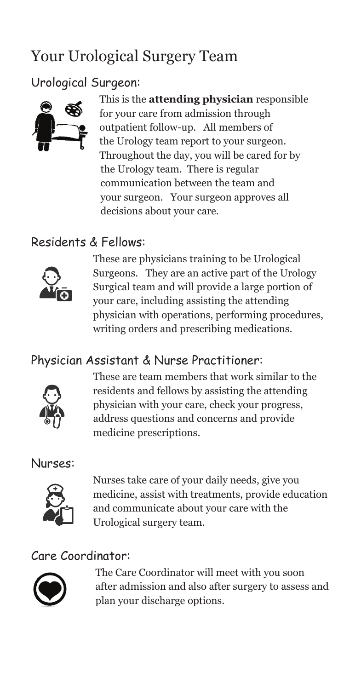# Your Urological Surgery Team

### Urological Surgeon:



This is the **attending physician** responsible for your care from admission through outpatient follow-up. All members of the Urology team report to your surgeon. Throughout the day, you will be cared for by the Urology team. There is regular communication between the team and your surgeon. Your surgeon approves all decisions about your care.

### Residents & Fellows:



These are physicians training to be Urological Surgeons. They are an active part of the Urology Surgical team and will provide a large portion of your care, including assisting the attending physician with operations, performing procedures, writing orders and prescribing medications.

### Physician Assistant & Nurse Practitioner:



These are team members that work similar to the residents and fellows by assisting the attending physician with your care, check your progress, address questions and concerns and provide medicine prescriptions.

#### Nurses:



Nurses take care of your daily needs, give you medicine, assist with treatments, provide education and communicate about your care with the Urological surgery team.

#### Care Coordinator:



The Care Coordinator will meet with you soon after admission and also after surgery to assess and plan your discharge options.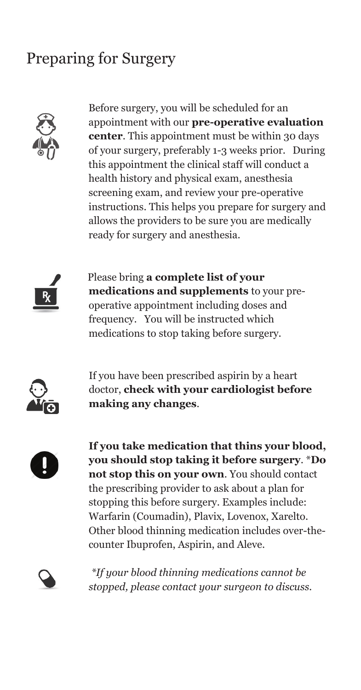# Preparing for Surgery



Before surgery, you will be scheduled for an appointment with our **pre-operative evaluation center**. This appointment must be within 30 days of your surgery, preferably 1-3 weeks prior. During this appointment the clinical staff will conduct a health history and physical exam, anesthesia screening exam, and review your pre-operative instructions. This helps you prepare for surgery and allows the providers to be sure you are medically ready for surgery and anesthesia.



 Please bring **a complete list of your medications and supplements** to your preoperative appointment including doses and frequency. You will be instructed which medications to stop taking before surgery.



If you have been prescribed aspirin by a heart doctor, **check with your cardiologist before making any changes**.



**If you take medication that thins your blood, you should stop taking it before surgery**. \***Do not stop this on your own**. You should contact the prescribing provider to ask about a plan for stopping this before surgery. Examples include: Warfarin (Coumadin), Plavix, Lovenox, Xarelto. Other blood thinning medication includes over-thecounter Ibuprofen, Aspirin, and Aleve.



*\*If your blood thinning medications cannot be stopped, please contact your surgeon to discuss.*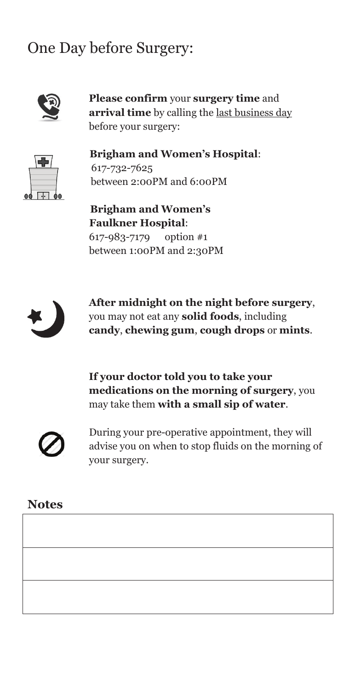# One Day before Surgery:



**Please confirm** your **surgery time** and **arrival time** by calling the last business day before your surgery:

 **Brigham and Women's Hospital**: 617-732-7625 between 2:00PM and 6:00PM

 **Brigham and Women's Faulkner Hospital**: 617-983-7179 option #1 between 1:00PM and 2:30PM



**After midnight on the night before surgery**, you may not eat any **solid foods**, including **candy**, **chewing gum**, **cough drops** or **mints**.

**If your doctor told you to take your medications on the morning of surgery**, you may take them **with a small sip of water**.



During your pre-operative appointment, they will advise you on when to stop fluids on the morning of your surgery.

#### **Notes**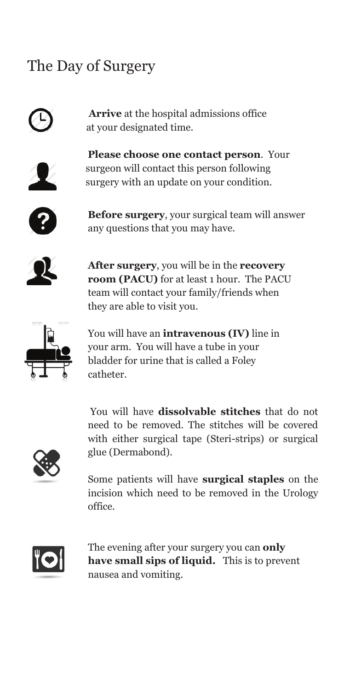## The Day of Surgery



 **Arrive** at the hospital admissions office at your designated time.



**Please choose one contact person**. Your surgeon will contact this person following surgery with an update on your condition.



**Before surgery**, your surgical team will answer any questions that you may have.



**After surgery**, you will be in the **recovery room (PACU)** for at least 1 hour. The PACU team will contact your family/friends when they are able to visit you.



You will have an **intravenous (IV)** line in your arm. You will have a tube in your bladder for urine that is called a Foley catheter.

You will have **dissolvable stitches** that do not need to be removed. The stitches will be covered with either surgical tape (Steri-strips) or surgical glue (Dermabond).

Some patients will have **surgical staples** on the incision which need to be removed in the Urology office.



The evening after your surgery you can **only have small sips of liquid.** This is to prevent nausea and vomiting.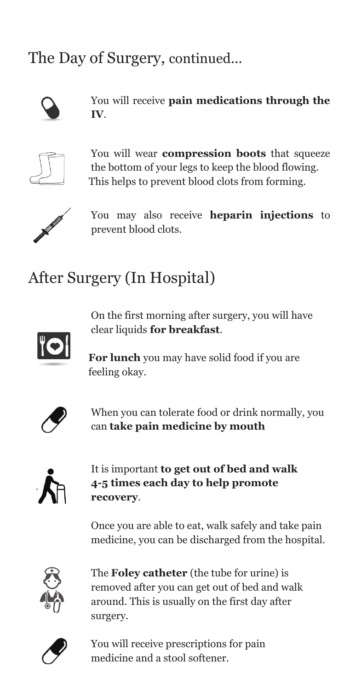The Day of Surgery, continued...



You will receive **pain medications through the IV**.



You will wear **compression boots** that squeeze the bottom of your legs to keep the blood flowing. This helps to prevent blood clots from forming.



 You may also receive **heparin injections** to prevent blood clots.

# After Surgery (In Hospital)



On the first morning after surgery, you will have clear liquids **for breakfast**.

**For lunch** you may have solid food if you are feeling okay.



When you can tolerate food or drink normally, you can **take pain medicine by mouth**



It is important **to get out of bed and walk 4-5 times each day to help promote recovery**.

Once you are able to eat, walk safely and take pain medicine, you can be discharged from the hospital.



The **Foley catheter** (the tube for urine) is removed after you can get out of bed and walk around. This is usually on the first day after surgery.



You will receive prescriptions for pain medicine and a stool softener.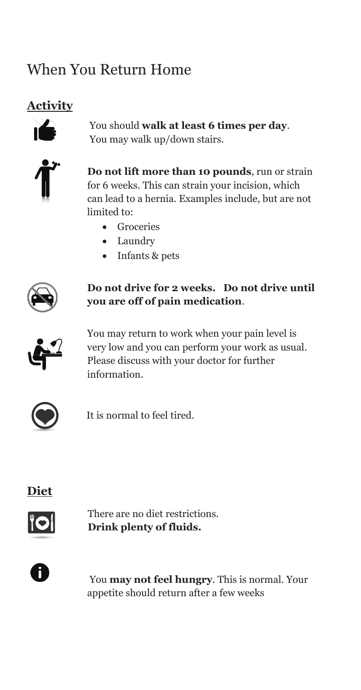# When You Return Home

### **Activity**



You should **walk at least 6 times per day**. You may walk up/down stairs.



**Do not lift more than 10 pounds**, run or strain for 6 weeks. This can strain your incision, which can lead to a hernia. Examples include, but are not limited to:

- Groceries
- Laundry
- Infants & pets



#### **Do not drive for 2 weeks. Do not drive until you are off of pain medication**.



You may return to work when your pain level is very low and you can perform your work as usual. Please discuss with your doctor for further information.



It is normal to feel tired.





 There are no diet restrictions. **Drink plenty of fluids.**



You **may not feel hungry**. This is normal. Your appetite should return after a few weeks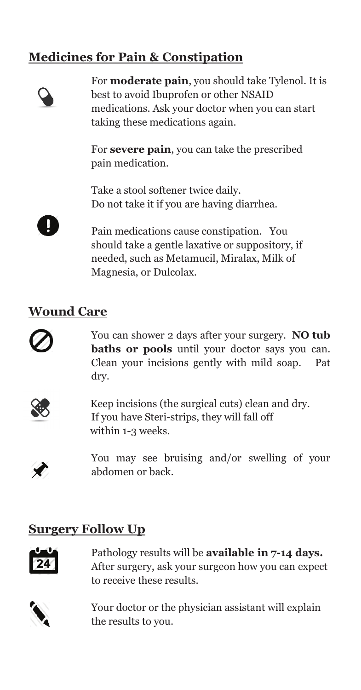### **Medicines for Pain & Constipation**



For **moderate pain**, you should take Tylenol. It is best to avoid Ibuprofen or other NSAID medications. Ask your doctor when you can start taking these medications again.

For **severe pain**, you can take the prescribed pain medication.

Take a stool softener twice daily. Do not take it if you are having diarrhea.



Pain medications cause constipation. You should take a gentle laxative or suppository, if needed, such as Metamucil, Miralax, Milk of Magnesia, or Dulcolax.

#### **Wound Care**



You can shower 2 days after your surgery. **NO tub baths or pools** until your doctor says you can. Clean your incisions gently with mild soap. Pat dry.



 Keep incisions (the surgical cuts) clean and dry. If you have Steri-strips, they will fall off within 1-3 weeks.

You may see bruising and/or swelling of your abdomen or back.

#### **Surgery Follow Up**



Pathology results will be **available in 7-14 days.** After surgery, ask your surgeon how you can expect to receive these results.



Your doctor or the physician assistant will explain the results to you.